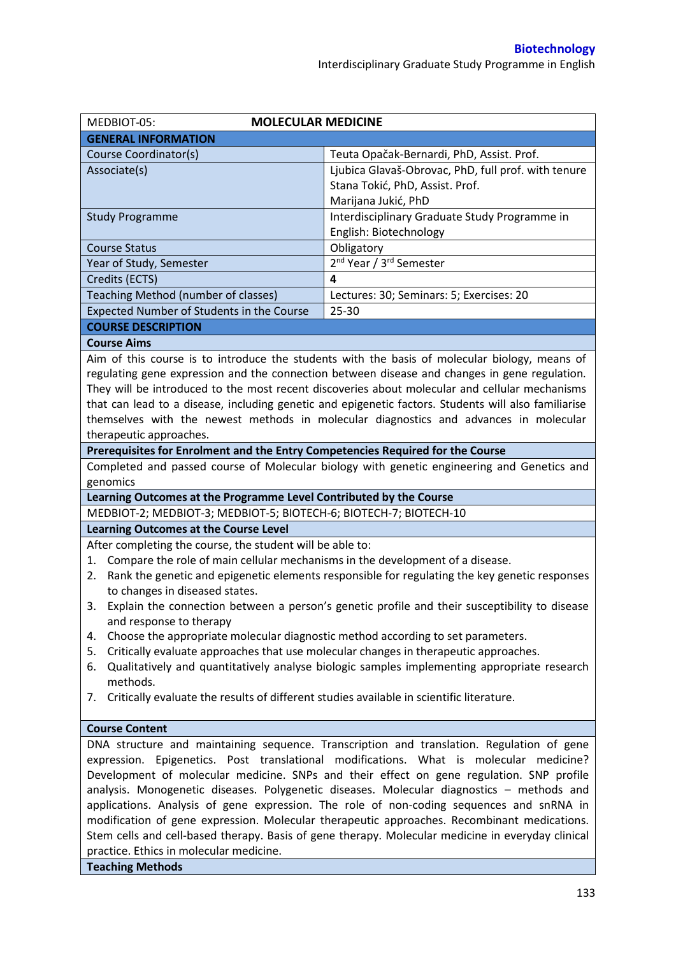| <b>MOLECULAR MEDICINE</b><br>MEDBIOT-05:                                                                                                                                      |                                                                                                                                                                                       |  |  |  |
|-------------------------------------------------------------------------------------------------------------------------------------------------------------------------------|---------------------------------------------------------------------------------------------------------------------------------------------------------------------------------------|--|--|--|
| <b>GENERAL INFORMATION</b>                                                                                                                                                    |                                                                                                                                                                                       |  |  |  |
| Course Coordinator(s)                                                                                                                                                         | Teuta Opačak-Bernardi, PhD, Assist. Prof.                                                                                                                                             |  |  |  |
| Associate(s)                                                                                                                                                                  | Ljubica Glavaš-Obrovac, PhD, full prof. with tenure                                                                                                                                   |  |  |  |
|                                                                                                                                                                               | Stana Tokić, PhD, Assist. Prof.                                                                                                                                                       |  |  |  |
|                                                                                                                                                                               | Marijana Jukić, PhD                                                                                                                                                                   |  |  |  |
| <b>Study Programme</b>                                                                                                                                                        | Interdisciplinary Graduate Study Programme in                                                                                                                                         |  |  |  |
|                                                                                                                                                                               | English: Biotechnology                                                                                                                                                                |  |  |  |
| <b>Course Status</b>                                                                                                                                                          | Obligatory                                                                                                                                                                            |  |  |  |
| Year of Study, Semester                                                                                                                                                       | 2 <sup>nd</sup> Year / 3 <sup>rd</sup> Semester                                                                                                                                       |  |  |  |
| Credits (ECTS)                                                                                                                                                                | 4                                                                                                                                                                                     |  |  |  |
| Teaching Method (number of classes)                                                                                                                                           | Lectures: 30; Seminars: 5; Exercises: 20                                                                                                                                              |  |  |  |
| Expected Number of Students in the Course                                                                                                                                     | 25-30                                                                                                                                                                                 |  |  |  |
| <b>COURSE DESCRIPTION</b>                                                                                                                                                     |                                                                                                                                                                                       |  |  |  |
| <b>Course Aims</b>                                                                                                                                                            |                                                                                                                                                                                       |  |  |  |
|                                                                                                                                                                               | Aim of this course is to introduce the students with the basis of molecular biology, means of                                                                                         |  |  |  |
|                                                                                                                                                                               | regulating gene expression and the connection between disease and changes in gene regulation.                                                                                         |  |  |  |
|                                                                                                                                                                               | They will be introduced to the most recent discoveries about molecular and cellular mechanisms                                                                                        |  |  |  |
|                                                                                                                                                                               | that can lead to a disease, including genetic and epigenetic factors. Students will also familiarise                                                                                  |  |  |  |
|                                                                                                                                                                               | themselves with the newest methods in molecular diagnostics and advances in molecular                                                                                                 |  |  |  |
| therapeutic approaches.                                                                                                                                                       |                                                                                                                                                                                       |  |  |  |
| Prerequisites for Enrolment and the Entry Competencies Required for the Course                                                                                                |                                                                                                                                                                                       |  |  |  |
|                                                                                                                                                                               | Completed and passed course of Molecular biology with genetic engineering and Genetics and                                                                                            |  |  |  |
| genomics                                                                                                                                                                      |                                                                                                                                                                                       |  |  |  |
| Learning Outcomes at the Programme Level Contributed by the Course                                                                                                            |                                                                                                                                                                                       |  |  |  |
| MEDBIOT-2; MEDBIOT-3; MEDBIOT-5; BIOTECH-6; BIOTECH-7; BIOTECH-10                                                                                                             |                                                                                                                                                                                       |  |  |  |
| <b>Learning Outcomes at the Course Level</b>                                                                                                                                  |                                                                                                                                                                                       |  |  |  |
| After completing the course, the student will be able to:                                                                                                                     |                                                                                                                                                                                       |  |  |  |
| Compare the role of main cellular mechanisms in the development of a disease.<br>1.                                                                                           |                                                                                                                                                                                       |  |  |  |
| 2.                                                                                                                                                                            | Rank the genetic and epigenetic elements responsible for regulating the key genetic responses                                                                                         |  |  |  |
| to changes in diseased states.                                                                                                                                                |                                                                                                                                                                                       |  |  |  |
|                                                                                                                                                                               | 3. Explain the connection between a person's genetic profile and their susceptibility to disease                                                                                      |  |  |  |
| and response to therapy                                                                                                                                                       |                                                                                                                                                                                       |  |  |  |
| Choose the appropriate molecular diagnostic method according to set parameters.<br>4.<br>Critically evaluate approaches that use molecular changes in therapeutic approaches. |                                                                                                                                                                                       |  |  |  |
| 5.<br>6.                                                                                                                                                                      |                                                                                                                                                                                       |  |  |  |
| Qualitatively and quantitatively analyse biologic samples implementing appropriate research<br>methods.                                                                       |                                                                                                                                                                                       |  |  |  |
| Critically evaluate the results of different studies available in scientific literature.<br>7.                                                                                |                                                                                                                                                                                       |  |  |  |
|                                                                                                                                                                               |                                                                                                                                                                                       |  |  |  |
| <b>Course Content</b>                                                                                                                                                         |                                                                                                                                                                                       |  |  |  |
|                                                                                                                                                                               | DNA structure and maintaining sequence. Transcription and translation. Regulation of gene                                                                                             |  |  |  |
| expression. Epigenetics. Post translational modifications. What is molecular medicine?                                                                                        |                                                                                                                                                                                       |  |  |  |
|                                                                                                                                                                               |                                                                                                                                                                                       |  |  |  |
|                                                                                                                                                                               |                                                                                                                                                                                       |  |  |  |
|                                                                                                                                                                               | Development of molecular medicine. SNPs and their effect on gene regulation. SNP profile                                                                                              |  |  |  |
|                                                                                                                                                                               | analysis. Monogenetic diseases. Polygenetic diseases. Molecular diagnostics - methods and<br>applications. Analysis of gene expression. The role of non-coding sequences and snRNA in |  |  |  |
|                                                                                                                                                                               | modification of gene expression. Molecular therapeutic approaches. Recombinant medications.                                                                                           |  |  |  |
|                                                                                                                                                                               | Stem cells and cell-based therapy. Basis of gene therapy. Molecular medicine in everyday clinical                                                                                     |  |  |  |

**Teaching Methods**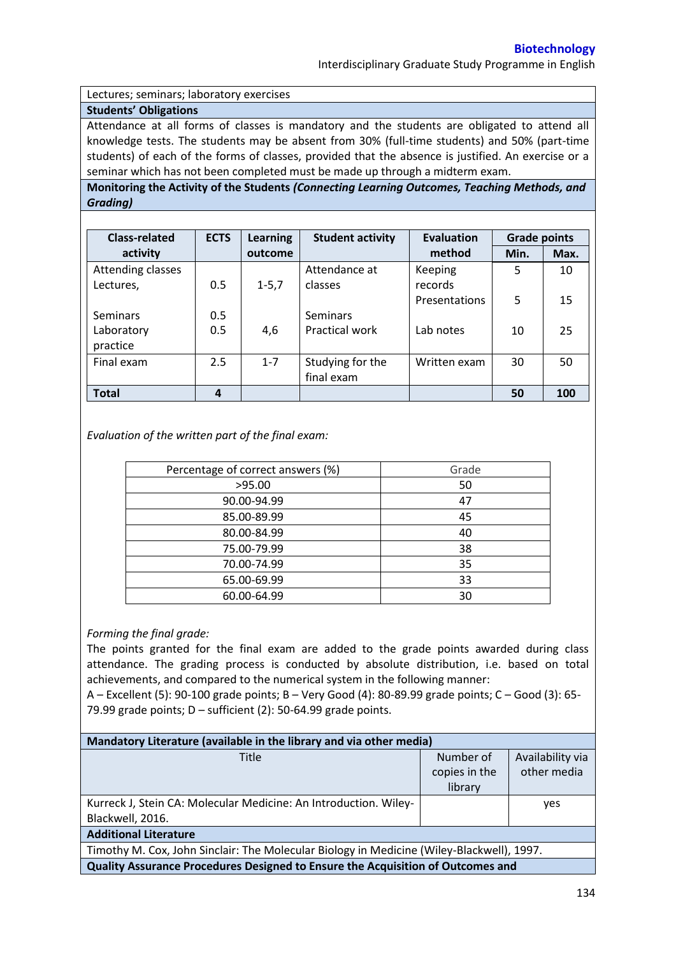Interdisciplinary Graduate Study Programme in English

Lectures; seminars; laboratory exercises

## **Students' Obligations**

Attendance at all forms of classes is mandatory and the students are obligated to attend all knowledge tests. The students may be absent from 30% (full-time students) and 50% (part-time students) of each of the forms of classes, provided that the absence is justified. An exercise or a seminar which has not been completed must be made up through a midterm exam.

**Monitoring the Activity of the Students** *(Connecting Learning Outcomes, Teaching Methods, and Grading)*

| <b>Class-related</b> | <b>ECTS</b> | <b>Learning</b> | <b>Student activity</b> | <b>Evaluation</b> | <b>Grade points</b> |      |
|----------------------|-------------|-----------------|-------------------------|-------------------|---------------------|------|
| activity             |             | outcome         |                         | method            | Min.                | Max. |
| Attending classes    |             |                 | Attendance at           | Keeping           | 5                   | 10   |
| Lectures,            | 0.5         | $1 - 5,7$       | classes                 | records           |                     |      |
|                      |             |                 |                         | Presentations     | 5                   | 15   |
| <b>Seminars</b>      | 0.5         |                 | <b>Seminars</b>         |                   |                     |      |
| Laboratory           | 0.5         | 4,6             | <b>Practical work</b>   | Lab notes         | 10                  | 25   |
| practice             |             |                 |                         |                   |                     |      |
| Final exam           | 2.5         | $1 - 7$         | Studying for the        | Written exam      | 30                  | 50   |
|                      |             |                 | final exam              |                   |                     |      |
| <b>Total</b>         | 4           |                 |                         |                   | 50                  | 100  |

*Evaluation of the written part of the final exam:*

| Percentage of correct answers (%) | Grade |
|-----------------------------------|-------|
| >95.00                            | 50    |
| 90.00-94.99                       | 47    |
| 85.00-89.99                       | 45    |
| 80.00-84.99                       | 40    |
| 75.00-79.99                       | 38    |
| 70.00-74.99                       | 35    |
| 65.00-69.99                       | 33    |
| 60.00-64.99                       | 30    |

## *Forming the final grade:*

The points granted for the final exam are added to the grade points awarded during class attendance. The grading process is conducted by absolute distribution, i.e. based on total achievements, and compared to the numerical system in the following manner:

A – Excellent (5): 90-100 grade points; B – Very Good (4): 80-89.99 grade points; C – Good (3): 65- 79.99 grade points;  $D$  – sufficient (2): 50-64.99 grade points.

| Mandatory Literature (available in the library and via other media)                       |               |                  |  |  |  |  |
|-------------------------------------------------------------------------------------------|---------------|------------------|--|--|--|--|
| Title                                                                                     | Number of     | Availability via |  |  |  |  |
|                                                                                           | copies in the | other media      |  |  |  |  |
|                                                                                           | library       |                  |  |  |  |  |
| Kurreck J, Stein CA: Molecular Medicine: An Introduction. Wiley-                          |               | yes              |  |  |  |  |
| Blackwell, 2016.                                                                          |               |                  |  |  |  |  |
| <b>Additional Literature</b>                                                              |               |                  |  |  |  |  |
| Timothy M. Cox, John Sinclair: The Molecular Biology in Medicine (Wiley-Blackwell), 1997. |               |                  |  |  |  |  |
| Quality Assurance Procedures Designed to Ensure the Acquisition of Outcomes and           |               |                  |  |  |  |  |